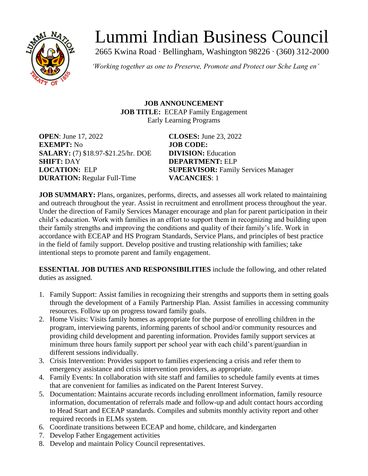

# Lummi Indian Business Council

2665 Kwina Road ∙ Bellingham, Washington 98226 ∙ (360) 312-2000

*'Working together as one to Preserve, Promote and Protect our Sche Lang en'*

**JOB ANNOUNCEMENT JOB TITLE:** ECEAP Family Engagement Early Learning Programs

**OPEN**: June 17, 2022 **CLOSES:** June 23, 2022 **EXEMPT:** No **JOB CODE: SALARY:** (7) \$18.97-\$21.25/hr. DOE **DIVISION:** Education **SHIFT: DAY DEPARTMENT: ELP DURATION:** Regular Full-Time **VACANCIES**: 1

**LOCATION:** ELP **SUPERVISOR:** Family Services Manager

**JOB SUMMARY:** Plans, organizes, performs, directs, and assesses all work related to maintaining and outreach throughout the year. Assist in recruitment and enrollment process throughout the year. Under the direction of Family Services Manager encourage and plan for parent participation in their child's education. Work with families in an effort to support them in recognizing and building upon their family strengths and improving the conditions and quality of their family's life. Work in accordance with ECEAP and HS Program Standards, Service Plans, and principles of best practice in the field of family support. Develop positive and trusting relationship with families; take intentional steps to promote parent and family engagement.

**ESSENTIAL JOB DUTIES AND RESPONSIBILITIES** include the following, and other related duties as assigned.

- 1. Family Support: Assist families in recognizing their strengths and supports them in setting goals through the development of a Family Partnership Plan. Assist families in accessing community resources. Follow up on progress toward family goals.
- 2. Home Visits: Visits family homes as appropriate for the purpose of enrolling children in the program, interviewing parents, informing parents of school and/or community resources and providing child development and parenting information. Provides family support services at minimum three hours family support per school year with each child's parent/guardian in different sessions individually.
- 3. Crisis Intervention: Provides support to families experiencing a crisis and refer them to emergency assistance and crisis intervention providers, as appropriate.
- 4. Family Events: In collaboration with site staff and families to schedule family events at times that are convenient for families as indicated on the Parent Interest Survey.
- 5. Documentation: Maintains accurate records including enrollment information, family resource information, documentation of referrals made and follow-up and adult contact hours according to Head Start and ECEAP standards. Compiles and submits monthly activity report and other required records in ELMs system.
- 6. Coordinate transitions between ECEAP and home, childcare, and kindergarten
- 7. Develop Father Engagement activities
- 8. Develop and maintain Policy Council representatives.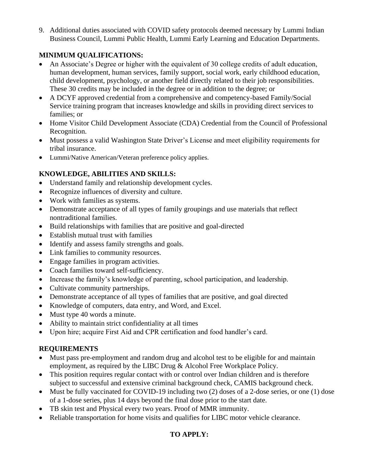9. Additional duties associated with COVID safety protocols deemed necessary by Lummi Indian Business Council, Lummi Public Health, Lummi Early Learning and Education Departments.

## **MINIMUM QUALIFICATIONS:**

- An Associate's Degree or higher with the equivalent of 30 college credits of adult education, human development, human services, family support, social work, early childhood education, child development, psychology, or another field directly related to their job responsibilities. These 30 credits may be included in the degree or in addition to the degree; or
- A DCYF approved credential from a comprehensive and competency-based Family/Social Service training program that increases knowledge and skills in providing direct services to families; or
- Home Visitor Child Development Associate (CDA) Credential from the Council of Professional Recognition.
- Must possess a valid Washington State Driver's License and meet eligibility requirements for tribal insurance.
- Lummi/Native American/Veteran preference policy applies.

# **KNOWLEDGE, ABILITIES AND SKILLS:**

- Understand family and relationship development cycles.
- Recognize influences of diversity and culture.
- Work with families as systems.
- Demonstrate acceptance of all types of family groupings and use materials that reflect nontraditional families.
- Build relationships with families that are positive and goal-directed
- Establish mutual trust with families
- Identify and assess family strengths and goals.
- Link families to community resources.
- Engage families in program activities.
- Coach families toward self-sufficiency.
- Increase the family's knowledge of parenting, school participation, and leadership.
- Cultivate community partnerships.
- Demonstrate acceptance of all types of families that are positive, and goal directed
- Knowledge of computers, data entry, and Word, and Excel.
- Must type 40 words a minute.
- Ability to maintain strict confidentiality at all times
- Upon hire; acquire First Aid and CPR certification and food handler's card.

#### **REQUIREMENTS**

- Must pass pre-employment and random drug and alcohol test to be eligible for and maintain employment, as required by the LIBC Drug & Alcohol Free Workplace Policy.
- This position requires regular contact with or control over Indian children and is therefore subject to successful and extensive criminal background check, CAMIS background check.
- Must be fully vaccinated for COVID-19 including two (2) doses of a 2-dose series, or one (1) dose of a 1-dose series, plus 14 days beyond the final dose prior to the start date.
- TB skin test and Physical every two years. Proof of MMR immunity.
- Reliable transportation for home visits and qualifies for LIBC motor vehicle clearance.

## **TO APPLY:**